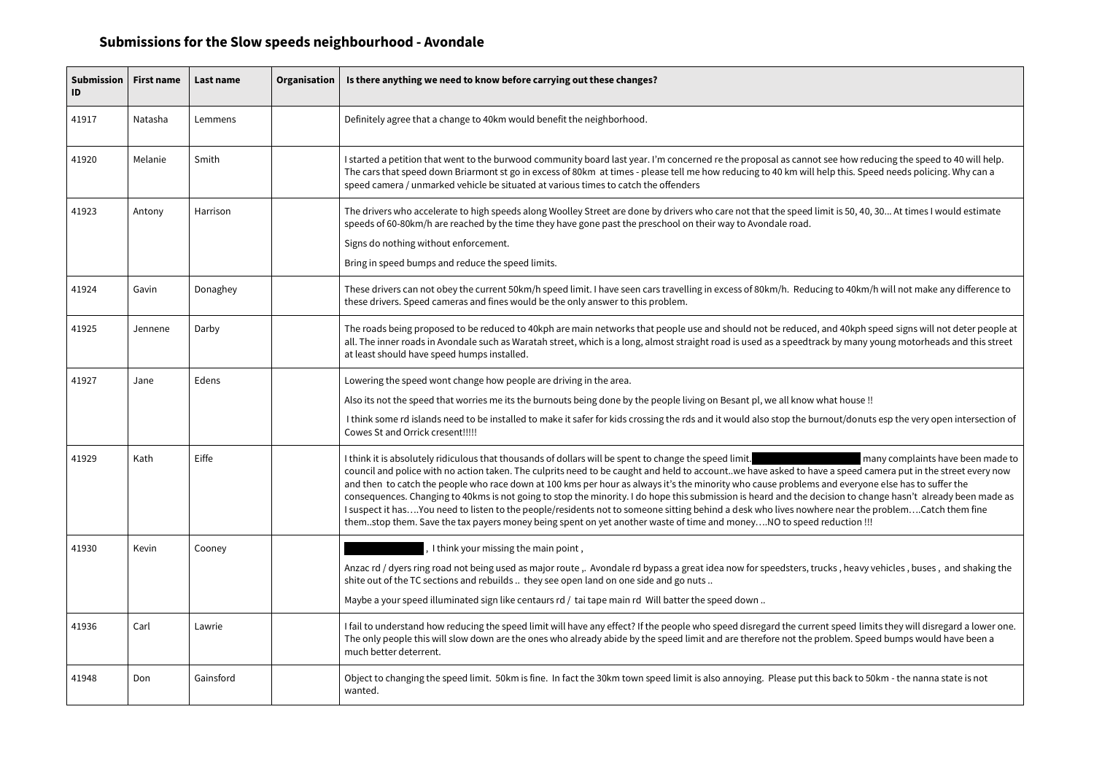| Submission  <br>ID | <b>First name</b> | <b>Last name</b> | Organisation | Is there anything we need to know before carrying out these changes?                                                                                                                                                                                                                                                                                                                                                                                                                                                                                                                                                                                                                                                                                                            |
|--------------------|-------------------|------------------|--------------|---------------------------------------------------------------------------------------------------------------------------------------------------------------------------------------------------------------------------------------------------------------------------------------------------------------------------------------------------------------------------------------------------------------------------------------------------------------------------------------------------------------------------------------------------------------------------------------------------------------------------------------------------------------------------------------------------------------------------------------------------------------------------------|
| 41917              | Natasha           | Lemmens          |              | Definitely agree that a change to 40km would benefit the neighborhood.                                                                                                                                                                                                                                                                                                                                                                                                                                                                                                                                                                                                                                                                                                          |
| 41920              | Melanie           | Smith            |              | I started a petition that went to the burwood community board last year. I'm concerned re the proposal as cannot see how red<br>The cars that speed down Briarmont st go in excess of 80km at times - please tell me how reducing to 40 km will help this. Spe<br>speed camera / unmarked vehicle be situated at various times to catch the offenders                                                                                                                                                                                                                                                                                                                                                                                                                           |
| 41923              | Antony            | Harrison         |              | The drivers who accelerate to high speeds along Woolley Street are done by drivers who care not that the speed limit is 50, 40,<br>speeds of 60-80km/h are reached by the time they have gone past the preschool on their way to Avondale road.                                                                                                                                                                                                                                                                                                                                                                                                                                                                                                                                 |
|                    |                   |                  |              | Signs do nothing without enforcement.                                                                                                                                                                                                                                                                                                                                                                                                                                                                                                                                                                                                                                                                                                                                           |
|                    |                   |                  |              | Bring in speed bumps and reduce the speed limits.                                                                                                                                                                                                                                                                                                                                                                                                                                                                                                                                                                                                                                                                                                                               |
| 41924              | Gavin             | Donaghey         |              | These drivers can not obey the current 50km/h speed limit. I have seen cars travelling in excess of 80km/h. Reducing to 40km/l<br>these drivers. Speed cameras and fines would be the only answer to this problem.                                                                                                                                                                                                                                                                                                                                                                                                                                                                                                                                                              |
| 41925              | Jennene           | Darby            |              | The roads being proposed to be reduced to 40kph are main networks that people use and should not be reduced, and 40kph sp<br>all. The inner roads in Avondale such as Waratah street, which is a long, almost straight road is used as a speedtrack by many y<br>at least should have speed humps installed.                                                                                                                                                                                                                                                                                                                                                                                                                                                                    |
| 41927              | Jane              | Edens            |              | Lowering the speed wont change how people are driving in the area.                                                                                                                                                                                                                                                                                                                                                                                                                                                                                                                                                                                                                                                                                                              |
|                    |                   |                  |              | Also its not the speed that worries me its the burnouts being done by the people living on Besant pl, we all know what house !!                                                                                                                                                                                                                                                                                                                                                                                                                                                                                                                                                                                                                                                 |
|                    |                   |                  |              | I think some rd islands need to be installed to make it safer for kids crossing the rds and it would also stop the burnout/donuts<br>Cowes St and Orrick cresent!!!!!                                                                                                                                                                                                                                                                                                                                                                                                                                                                                                                                                                                                           |
| 41929              | Kath              | Eiffe            |              | I think it is absolutely ridiculous that thousands of dollars will be spent to change the speed limit.<br>m <sub>5</sub><br>council and police with no action taken. The culprits need to be caught and held to account. we have asked to have a speed ca<br>and then to catch the people who race down at 100 kms per hour as always it's the minority who cause problems and everyon<br>consequences. Changing to 40kms is not going to stop the minority. I do hope this submission is heard and the decision to cha<br>I suspect it hasYou need to listen to the people/residents not to someone sitting behind a desk who lives nowhere near the p<br>themstop them. Save the tax payers money being spent on yet another waste of time and moneyNO to speed reduction !!! |
| 41930              | Kevin             | Cooney           |              | I think your missing the main point,                                                                                                                                                                                                                                                                                                                                                                                                                                                                                                                                                                                                                                                                                                                                            |
|                    |                   |                  |              | Anzac rd / dyers ring road not being used as major route, Avondale rd bypass a great idea now for speedsters, trucks, heavy v<br>shite out of the TC sections and rebuilds  they see open land on one side and go nuts                                                                                                                                                                                                                                                                                                                                                                                                                                                                                                                                                          |
|                    |                   |                  |              | Maybe a your speed illuminated sign like centaurs rd / tai tape main rd Will batter the speed down                                                                                                                                                                                                                                                                                                                                                                                                                                                                                                                                                                                                                                                                              |
| 41936              | Carl              | Lawrie           |              | I fail to understand how reducing the speed limit will have any effect? If the people who speed disregard the current speed limi<br>The only people this will slow down are the ones who already abide by the speed limit and are therefore not the problem. Spee<br>much better deterrent.                                                                                                                                                                                                                                                                                                                                                                                                                                                                                     |
| 41948              | Don               | Gainsford        |              | Object to changing the speed limit. 50km is fine. In fact the 30km town speed limit is also annoying. Please put this back to 50<br>wanted.                                                                                                                                                                                                                                                                                                                                                                                                                                                                                                                                                                                                                                     |

see how reducing the speed to 40 will help. elp this. Speed needs policing. Why can a

nit is 50, 40, 30... At times I would estimate

ng to 40km/h will not make any difference to

and 40kph speed signs will not deter people at ck by many young motorheads and this street

nout/donuts esp the very open intersection of

I many complaints have been made to  $\overline{a}$  a speed camera put in the street every now and everyone else has to suffer the cision to change hasn't already been made as I suspect it has problem....Catch them fine sitting people and a desition and a desire non-

 $\alpha$ cks , heavy vehicles , buses , and shaking the

nt speed limits they will disregard a lower one. roblem. Speed bumps would have been a

iis back to 50km - the nanna state is not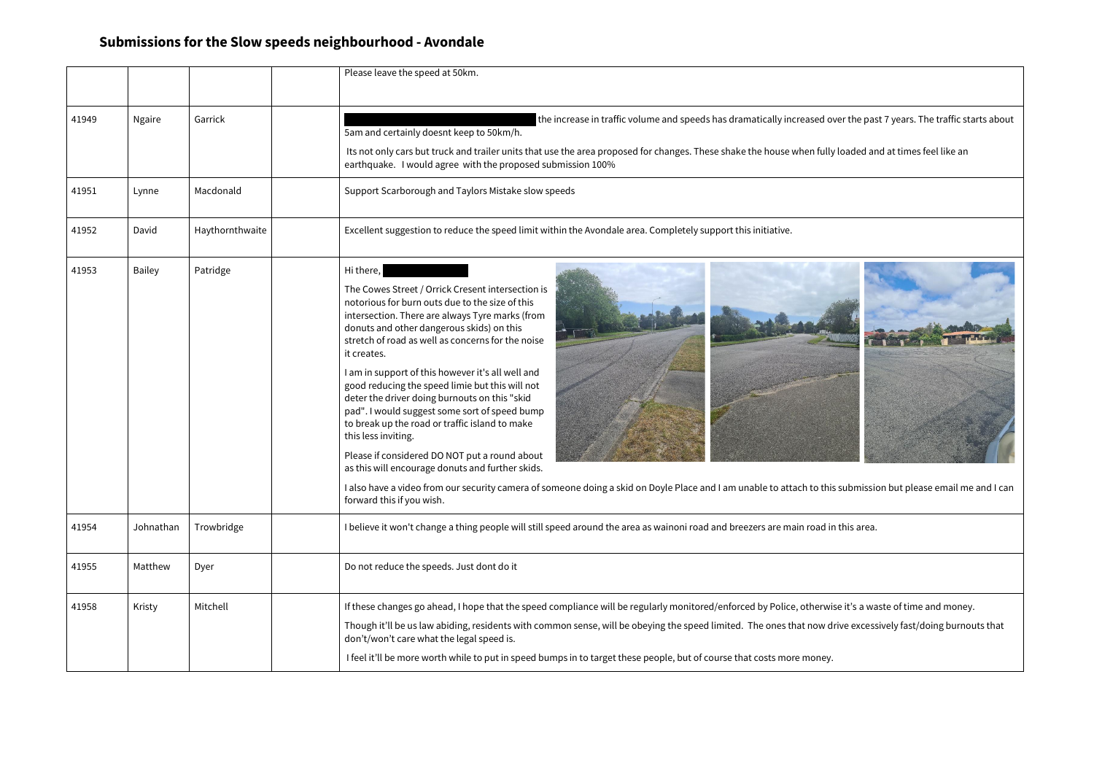|       |               |                 | Please leave the speed at 50km.                                                                                                                                                                                                                                                                                                                                                                                                                                                                                                                                                                                                                                                                                                                                                                                                                |
|-------|---------------|-----------------|------------------------------------------------------------------------------------------------------------------------------------------------------------------------------------------------------------------------------------------------------------------------------------------------------------------------------------------------------------------------------------------------------------------------------------------------------------------------------------------------------------------------------------------------------------------------------------------------------------------------------------------------------------------------------------------------------------------------------------------------------------------------------------------------------------------------------------------------|
| 41949 | <b>Ngaire</b> | Garrick         | the increase in traffic volume and speeds has dramatically increased over the pas<br>5am and certainly doesnt keep to 50km/h.<br>Its not only cars but truck and trailer units that use the area proposed for changes. These shake the house when fully loaded ar<br>earthquake. I would agree with the proposed submission 100%                                                                                                                                                                                                                                                                                                                                                                                                                                                                                                               |
| 41951 | Lynne         | Macdonald       | Support Scarborough and Taylors Mistake slow speeds                                                                                                                                                                                                                                                                                                                                                                                                                                                                                                                                                                                                                                                                                                                                                                                            |
| 41952 | David         | Haythornthwaite | Excellent suggestion to reduce the speed limit within the Avondale area. Completely support this initiative.                                                                                                                                                                                                                                                                                                                                                                                                                                                                                                                                                                                                                                                                                                                                   |
| 41953 | <b>Bailey</b> | Patridge        | Hi there,<br>The Cowes Street / Orrick Cresent intersection is<br>notorious for burn outs due to the size of this<br>intersection. There are always Tyre marks (from<br>donuts and other dangerous skids) on this<br>stretch of road as well as concerns for the noise<br>it creates.<br>I am in support of this however it's all well and<br>good reducing the speed limie but this will not<br>deter the driver doing burnouts on this "skid<br>pad". I would suggest some sort of speed bump<br>to break up the road or traffic island to make<br>this less inviting.<br>Please if considered DO NOT put a round about<br>as this will encourage donuts and further skids.<br>I also have a video from our security camera of someone doing a skid on Doyle Place and I am unable to attach to this submission<br>forward this if you wish. |
| 41954 | Johnathan     | Trowbridge      | I believe it won't change a thing people will still speed around the area as wainoni road and breezers are main road in this area.                                                                                                                                                                                                                                                                                                                                                                                                                                                                                                                                                                                                                                                                                                             |
| 41955 | Matthew       | Dyer            | Do not reduce the speeds. Just dont do it                                                                                                                                                                                                                                                                                                                                                                                                                                                                                                                                                                                                                                                                                                                                                                                                      |
| 41958 | Kristy        | Mitchell        | If these changes go ahead, I hope that the speed compliance will be regularly monitored/enforced by Police, otherwise it's a wa<br>Though it'll be us law abiding, residents with common sense, will be obeying the speed limited. The ones that now drive excess<br>don't/won't care what the legal speed is.<br>I feel it'll be more worth while to put in speed bumps in to target these people, but of course that costs more money.                                                                                                                                                                                                                                                                                                                                                                                                       |

d over the past 7 years. The traffic starts about

ully loaded and at times feel like an



this submission but please email me and I can

rwise it's a waste of time and money.

v drive excessively fast/doing burnouts that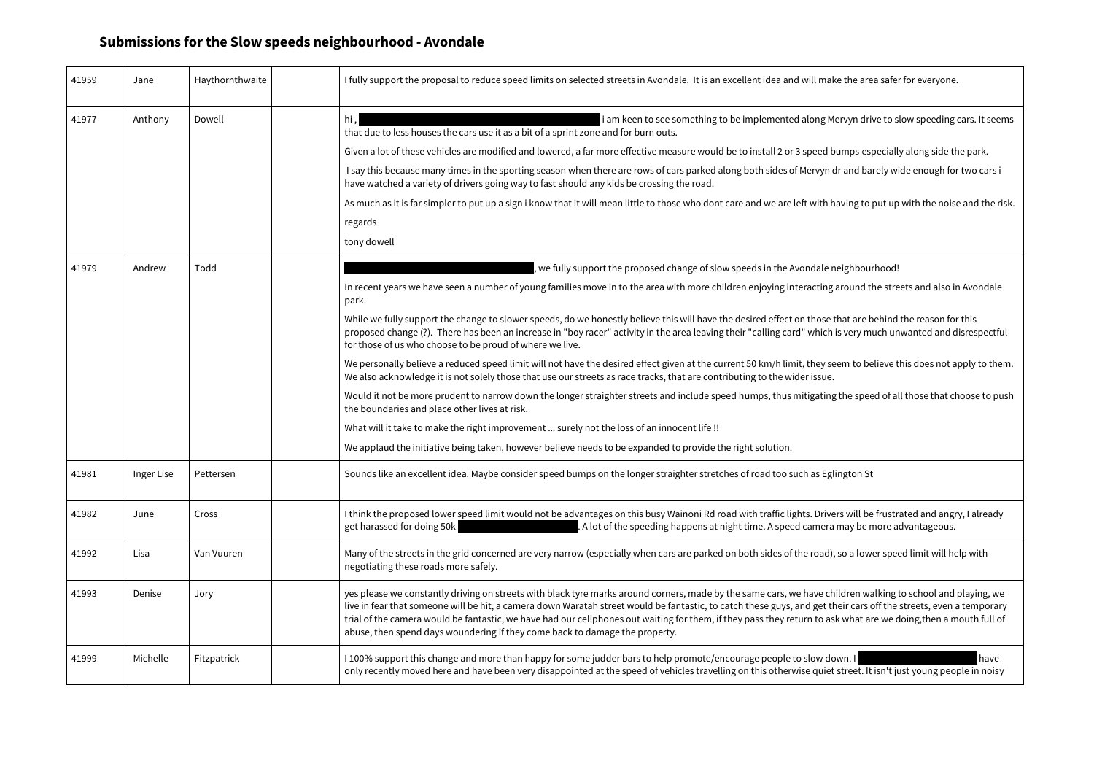| 41959 | Jane       | Haythornthwaite | I fully support the proposal to reduce speed limits on selected streets in Avondale. It is an excellent idea and will make the area safer for everyone.                                                                                                                                                                                                                                                                                                                                                                                                                        |
|-------|------------|-----------------|--------------------------------------------------------------------------------------------------------------------------------------------------------------------------------------------------------------------------------------------------------------------------------------------------------------------------------------------------------------------------------------------------------------------------------------------------------------------------------------------------------------------------------------------------------------------------------|
| 41977 | Anthony    | Dowell          | i am keen to see something to be implemented along Mervyn drive to slow speeding cars. It see<br>hi,<br>that due to less houses the cars use it as a bit of a sprint zone and for burn outs.                                                                                                                                                                                                                                                                                                                                                                                   |
|       |            |                 | Given a lot of these vehicles are modified and lowered, a far more effective measure would be to install 2 or 3 speed bumps especially along side the park.                                                                                                                                                                                                                                                                                                                                                                                                                    |
|       |            |                 | I say this because many times in the sporting season when there are rows of cars parked along both sides of Mervyn dr and barely wide enough for two cars i<br>have watched a variety of drivers going way to fast should any kids be crossing the road.                                                                                                                                                                                                                                                                                                                       |
|       |            |                 | As much as it is far simpler to put up a sign i know that it will mean little to those who dont care and we are left with having to put up with the noise and the r                                                                                                                                                                                                                                                                                                                                                                                                            |
|       |            |                 | regards                                                                                                                                                                                                                                                                                                                                                                                                                                                                                                                                                                        |
|       |            |                 | tony dowell                                                                                                                                                                                                                                                                                                                                                                                                                                                                                                                                                                    |
| 41979 | Andrew     | Todd            | , we fully support the proposed change of slow speeds in the Avondale neighbourhood!                                                                                                                                                                                                                                                                                                                                                                                                                                                                                           |
|       |            |                 | In recent years we have seen a number of young families move in to the area with more children enjoying interacting around the streets and also in Avondale<br>park.                                                                                                                                                                                                                                                                                                                                                                                                           |
|       |            |                 | While we fully support the change to slower speeds, do we honestly believe this will have the desired effect on those that are behind the reason for this<br>proposed change (?). There has been an increase in "boy racer" activity in the area leaving their "calling card" which is very much unwanted and disrespectf<br>for those of us who choose to be proud of where we live.                                                                                                                                                                                          |
|       |            |                 | We personally believe a reduced speed limit will not have the desired effect given at the current 50 km/h limit, they seem to believe this does not apply to the<br>We also acknowledge it is not solely those that use our streets as race tracks, that are contributing to the wider issue.                                                                                                                                                                                                                                                                                  |
|       |            |                 | Would it not be more prudent to narrow down the longer straighter streets and include speed humps, thus mitigating the speed of all those that choose to po<br>the boundaries and place other lives at risk.                                                                                                                                                                                                                                                                                                                                                                   |
|       |            |                 | What will it take to make the right improvement  surely not the loss of an innocent life !!                                                                                                                                                                                                                                                                                                                                                                                                                                                                                    |
|       |            |                 | We applaud the initiative being taken, however believe needs to be expanded to provide the right solution.                                                                                                                                                                                                                                                                                                                                                                                                                                                                     |
| 41981 | Inger Lise | Pettersen       | Sounds like an excellent idea. Maybe consider speed bumps on the longer straighter stretches of road too such as Eglington St                                                                                                                                                                                                                                                                                                                                                                                                                                                  |
| 41982 | June       | Cross           | I think the proposed lower speed limit would not be advantages on this busy Wainoni Rd road with traffic lights. Drivers will be frustrated and angry, I already<br>get harassed for doing 50k<br>. A lot of the speeding happens at night time. A speed camera may be more advantageous.                                                                                                                                                                                                                                                                                      |
| 41992 | Lisa       | Van Vuuren      | Many of the streets in the grid concerned are very narrow (especially when cars are parked on both sides of the road), so a lower speed limit will help with<br>negotiating these roads more safely.                                                                                                                                                                                                                                                                                                                                                                           |
| 41993 | Denise     | Jory            | yes please we constantly driving on streets with black tyre marks around corners, made by the same cars, we have children walking to school and playing, w<br>live in fear that someone will be hit, a camera down Waratah street would be fantastic, to catch these guys, and get their cars off the streets, even a tempora<br>trial of the camera would be fantastic, we have had our cellphones out waiting for them, if they pass they return to ask what are we doing,then a mouth full c<br>abuse, then spend days woundering if they come back to damage the property. |
| 41999 | Michelle   | Fitzpatrick     | I 100% support this change and more than happy for some judder bars to help promote/encourage people to slow down. I<br>have<br>only recently moved here and have been very disappointed at the speed of vehicles travelling on this otherwise quiet street. It isn't just young people in noise                                                                                                                                                                                                                                                                               |

Mervyn drive to slow speeding cars. It seems

h having to put up with the noise and the risk.

y seem to believe this does not apply to them.

ing the speed of all those that choose to push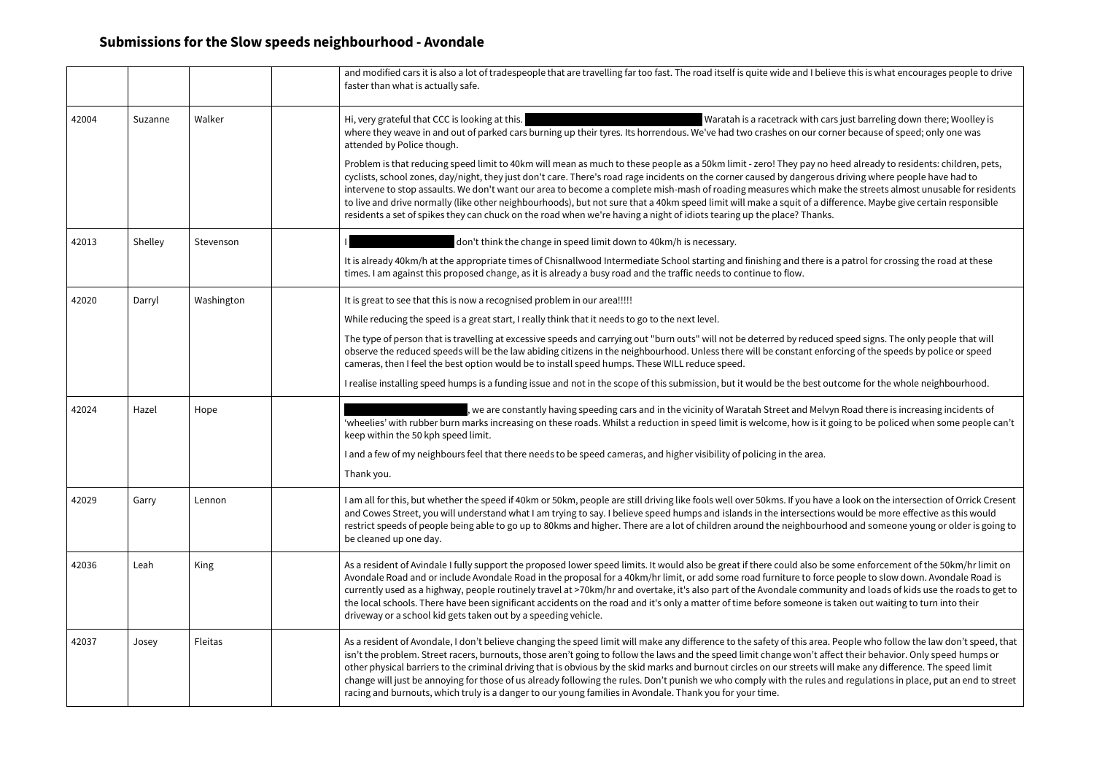|       |         |            | and modified cars it is also a lot of tradespeople that are travelling far too fast. The road itself is quite wide and I belie<br>faster than what is actually safe.                                                                                                                                                                                                                                                                                                                                                                                                                                                     |
|-------|---------|------------|--------------------------------------------------------------------------------------------------------------------------------------------------------------------------------------------------------------------------------------------------------------------------------------------------------------------------------------------------------------------------------------------------------------------------------------------------------------------------------------------------------------------------------------------------------------------------------------------------------------------------|
| 42004 | Suzanne | Walker     | Hi, very grateful that CCC is looking at this.<br>Waratah is a racetrack with cars<br>where they weave in and out of parked cars burning up their tyres. Its horrendous. We've had two crashes on our corr<br>attended by Police though.                                                                                                                                                                                                                                                                                                                                                                                 |
|       |         |            | Problem is that reducing speed limit to 40km will mean as much to these people as a 50km limit - zero! They pay no h<br>cyclists, school zones, day/night, they just don't care. There's road rage incidents on the corner caused by dangerous<br>intervene to stop assaults. We don't want our area to become a complete mish-mash of roading measures which mak<br>to live and drive normally (like other neighbourhoods), but not sure that a 40km speed limit will make a squit of a diff<br>residents a set of spikes they can chuck on the road when we're having a night of idiots tearing up the place? Thanks.  |
| 42013 | Shelley | Stevenson  | don't think the change in speed limit down to 40km/h is necessary.                                                                                                                                                                                                                                                                                                                                                                                                                                                                                                                                                       |
|       |         |            | It is already 40km/h at the appropriate times of Chisnallwood Intermediate School starting and finishing and there is<br>times. I am against this proposed change, as it is already a busy road and the traffic needs to continue to flow.                                                                                                                                                                                                                                                                                                                                                                               |
| 42020 | Darryl  | Washington | It is great to see that this is now a recognised problem in our area!!!!!                                                                                                                                                                                                                                                                                                                                                                                                                                                                                                                                                |
|       |         |            | While reducing the speed is a great start, I really think that it needs to go to the next level.                                                                                                                                                                                                                                                                                                                                                                                                                                                                                                                         |
|       |         |            | The type of person that is travelling at excessive speeds and carrying out "burn outs" will not be deterred by reduced<br>observe the reduced speeds will be the law abiding citizens in the neighbourhood. Unless there will be constant enfor<br>cameras, then I feel the best option would be to install speed humps. These WILL reduce speed.                                                                                                                                                                                                                                                                        |
|       |         |            | I realise installing speed humps is a funding issue and not in the scope of this submission, but it would be the best out                                                                                                                                                                                                                                                                                                                                                                                                                                                                                                |
| 42024 | Hazel   | Hope       | , we are constantly having speeding cars and in the vicinity of Waratah Street and Melvyi<br>'wheelies' with rubber burn marks increasing on these roads. Whilst a reduction in speed limit is welcome, how is it go<br>keep within the 50 kph speed limit.                                                                                                                                                                                                                                                                                                                                                              |
|       |         |            | I and a few of my neighbours feel that there needs to be speed cameras, and higher visibility of policing in the area.                                                                                                                                                                                                                                                                                                                                                                                                                                                                                                   |
|       |         |            | Thank you.                                                                                                                                                                                                                                                                                                                                                                                                                                                                                                                                                                                                               |
| 42029 | Garry   | Lennon     | I am all for this, but whether the speed if 40km or 50km, people are still driving like fools well over 50kms. If you have<br>and Cowes Street, you will understand what I am trying to say. I believe speed humps and islands in the intersections<br>restrict speeds of people being able to go up to 80kms and higher. There are a lot of children around the neighbourho<br>be cleaned up one day.                                                                                                                                                                                                                   |
| 42036 | Leah    | King       | As a resident of Avindale I fully support the proposed lower speed limits. It would also be great if there could also be s<br>Avondale Road and or include Avondale Road in the proposal for a 40km/hr limit, or add some road furniture to force<br>currently used as a highway, people routinely travel at >70km/hr and overtake, it's also part of the Avondale commun<br>the local schools. There have been significant accidents on the road and it's only a matter of time before someone is t<br>driveway or a school kid gets taken out by a speeding vehicle.                                                   |
| 42037 | Josey   | Fleitas    | As a resident of Avondale, I don't believe changing the speed limit will make any difference to the safety of this area. F<br>isn't the problem. Street racers, burnouts, those aren't going to follow the laws and the speed limit change won't affe<br>other physical barriers to the criminal driving that is obvious by the skid marks and burnout circles on our streets will<br>change will just be annoying for those of us already following the rules. Don't punish we who comply with the rules ar<br>racing and burnouts, which truly is a danger to our young families in Avondale. Thank you for your time. |

elieve this is what encourages people to drive

tars just barreling down there; Woolley is orner because of speed; only one was.

o heed already to residents: children, pets, ous driving where people have had to nake the streets almost unusable for residents difference. Maybe give certain responsible

is a patrol for crossing the road at these

ed speed signs. The only people that will nforcing of the speeds by police or speed

outcome for the whole neighbourhood.

lvyn Road there is increasing incidents of t going to be policed when some people can't

ive a look on the intersection of Orrick Cresent ons would be more effective as this would rhood and someone young or older is going to

be some enforcement of the 50km/hr limit on rce people to slow down. Avondale Road is nunity and loads of kids use the roads to get to is taken out waiting to turn into their

a. People who follow the law don't speed, that affect their behavior. Only speed humps or will make any difference. The speed limit s and regulations in place, put an end to street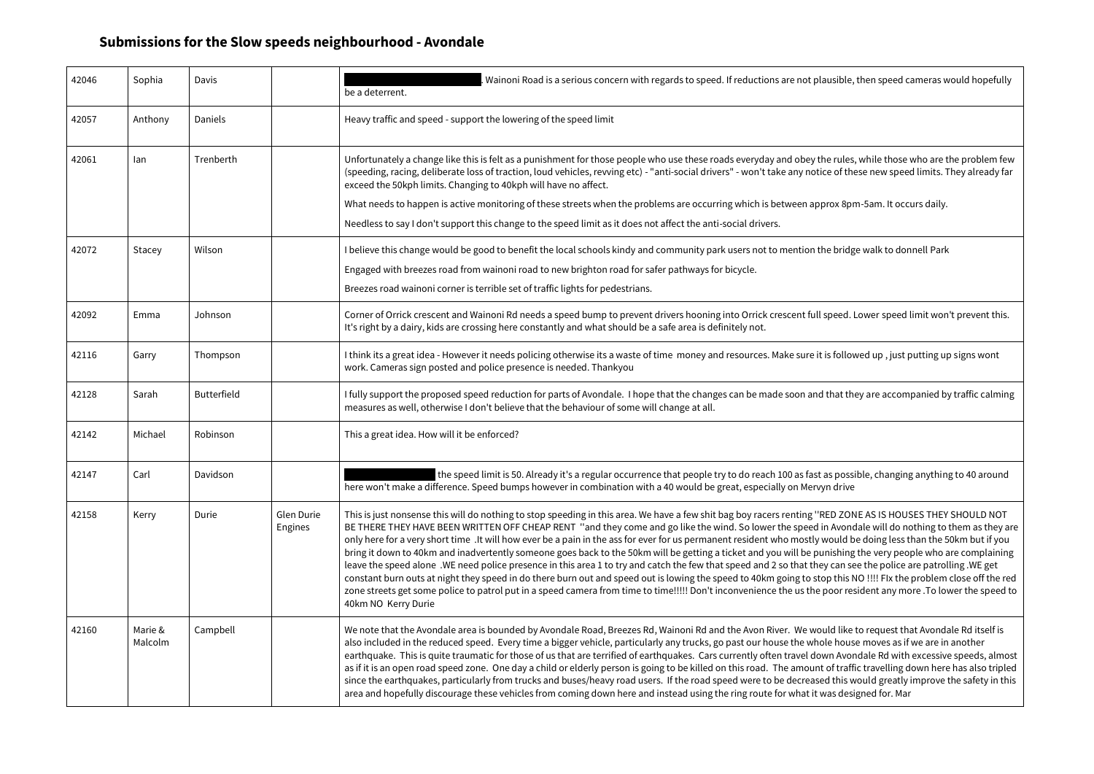| 42046 | Sophia             | Davis              |                       | Wainoni Road is a serious concern with regards to speed. If reductions are not plausible,<br>be a deterrent.                                                                                                                                                                                                                                                                                                                                                                                                                                                                                                                                                                                                                                                                                                                                                                                                                    |
|-------|--------------------|--------------------|-----------------------|---------------------------------------------------------------------------------------------------------------------------------------------------------------------------------------------------------------------------------------------------------------------------------------------------------------------------------------------------------------------------------------------------------------------------------------------------------------------------------------------------------------------------------------------------------------------------------------------------------------------------------------------------------------------------------------------------------------------------------------------------------------------------------------------------------------------------------------------------------------------------------------------------------------------------------|
| 42057 | Anthony            | Daniels            |                       | Heavy traffic and speed - support the lowering of the speed limit                                                                                                                                                                                                                                                                                                                                                                                                                                                                                                                                                                                                                                                                                                                                                                                                                                                               |
| 42061 | lan                | Trenberth          |                       | Unfortunately a change like this is felt as a punishment for those people who use these roads everyday and obey the rules<br>(speeding, racing, deliberate loss of traction, loud vehicles, revving etc) - "anti-social drivers" - won't take any notice of th<br>exceed the 50kph limits. Changing to 40kph will have no affect.                                                                                                                                                                                                                                                                                                                                                                                                                                                                                                                                                                                               |
|       |                    |                    |                       | What needs to happen is active monitoring of these streets when the problems are occurring which is between approx 8pi                                                                                                                                                                                                                                                                                                                                                                                                                                                                                                                                                                                                                                                                                                                                                                                                          |
|       |                    |                    |                       | Needless to say I don't support this change to the speed limit as it does not affect the anti-social drivers.                                                                                                                                                                                                                                                                                                                                                                                                                                                                                                                                                                                                                                                                                                                                                                                                                   |
| 42072 | Stacey             | Wilson             |                       | I believe this change would be good to benefit the local schools kindy and community park users not to mention the bridg                                                                                                                                                                                                                                                                                                                                                                                                                                                                                                                                                                                                                                                                                                                                                                                                        |
|       |                    |                    |                       | Engaged with breezes road from wainoni road to new brighton road for safer pathways for bicycle.                                                                                                                                                                                                                                                                                                                                                                                                                                                                                                                                                                                                                                                                                                                                                                                                                                |
|       |                    |                    |                       | Breezes road wainoni corner is terrible set of traffic lights for pedestrians.                                                                                                                                                                                                                                                                                                                                                                                                                                                                                                                                                                                                                                                                                                                                                                                                                                                  |
| 42092 | Emma               | Johnson            |                       | Corner of Orrick crescent and Wainoni Rd needs a speed bump to prevent drivers hooning into Orrick crescent full speed.<br>It's right by a dairy, kids are crossing here constantly and what should be a safe area is definitely not.                                                                                                                                                                                                                                                                                                                                                                                                                                                                                                                                                                                                                                                                                           |
| 42116 | Garry              | Thompson           |                       | I think its a great idea - However it needs policing otherwise its a waste of time money and resources. Make sure it is folloy<br>work. Cameras sign posted and police presence is needed. Thankyou                                                                                                                                                                                                                                                                                                                                                                                                                                                                                                                                                                                                                                                                                                                             |
| 42128 | Sarah              | <b>Butterfield</b> |                       | I fully support the proposed speed reduction for parts of Avondale. I hope that the changes can be made soon and that th<br>measures as well, otherwise I don't believe that the behaviour of some will change at all.                                                                                                                                                                                                                                                                                                                                                                                                                                                                                                                                                                                                                                                                                                          |
| 42142 | Michael            | Robinson           |                       | This a great idea. How will it be enforced?                                                                                                                                                                                                                                                                                                                                                                                                                                                                                                                                                                                                                                                                                                                                                                                                                                                                                     |
| 42147 | Carl               | Davidson           |                       | the speed limit is 50. Already it's a regular occurrence that people try to do reach 100 as fast as poss<br>here won't make a difference. Speed bumps however in combination with a 40 would be great, especially on Mervyn drive                                                                                                                                                                                                                                                                                                                                                                                                                                                                                                                                                                                                                                                                                               |
| 42158 | Kerry              | Durie              | Glen Durie<br>Engines | This is just nonsense this will do nothing to stop speeding in this area. We have a few shit bag boy racers renting "RED ZON<br>BE THERE THEY HAVE BEEN WRITTEN OFF CHEAP RENT "and they come and go like the wind. So lower the speed in Avone<br>only here for a very short time .It will how ever be a pain in the ass for ever for us permanent resident who mostly would b<br>bring it down to 40km and inadvertently someone goes back to the 50km will be getting a ticket and you will be punishing<br>leave the speed alone. WE need police presence in this area 1 to try and catch the few that speed and 2 so that they can se<br>constant burn outs at night they speed in do there burn out and speed out is lowing the speed to 40km going to stop this I<br>zone streets get some police to patrol put in a speed camera from time to time!!!!! Don't inconvenience the us the poor read<br>40km NO Kerry Durie |
| 42160 | Marie &<br>Malcolm | Campbell           |                       | We note that the Avondale area is bounded by Avondale Road, Breezes Rd, Wainoni Rd and the Avon River. We would like<br>also included in the reduced speed. Every time a bigger vehicle, particularly any trucks, go past our house the whole hous<br>earthquake. This is quite traumatic for those of us that are terrified of earthquakes. Cars currently often travel down Avor<br>as if it is an open road speed zone. One day a child or elderly person is going to be killed on this road. The amount of traff<br>since the earthquakes, particularly from trucks and buses/heavy road users. If the road speed were to be decreased this v<br>area and hopefully discourage these vehicles from coming down here and instead using the ring route for what it was desi                                                                                                                                                   |

ausible, then speed cameras would hopefully

he rules, while those who are the problem few ce of these new speed limits. They already far

prox 8pm-5am. It occurs daily.

he bridge walk to donnell Park

speed. Lower speed limit won't prevent this.

is followed up, just putting up signs wont

I that they are accompanied by traffic calming

as possible, changing anything to 40 around

RED ZONE AS IS HOUSES THEY SHOULD NOT in Avondale will do nothing to them as they are would be doing less than the 50km but if you inishing the very people who are complaining ey can see the police are patrolling .WE get op this NO !!!! FIx the problem close off the red poor resident any more .To lower the speed to

uld like to request that Avondale Rd itself is ble house moves as if we are in another wn Avondale Rd with excessive speeds, almost t of traffic travelling down here has also tripled ed this would greatly improve the safety in this was designed for. Mar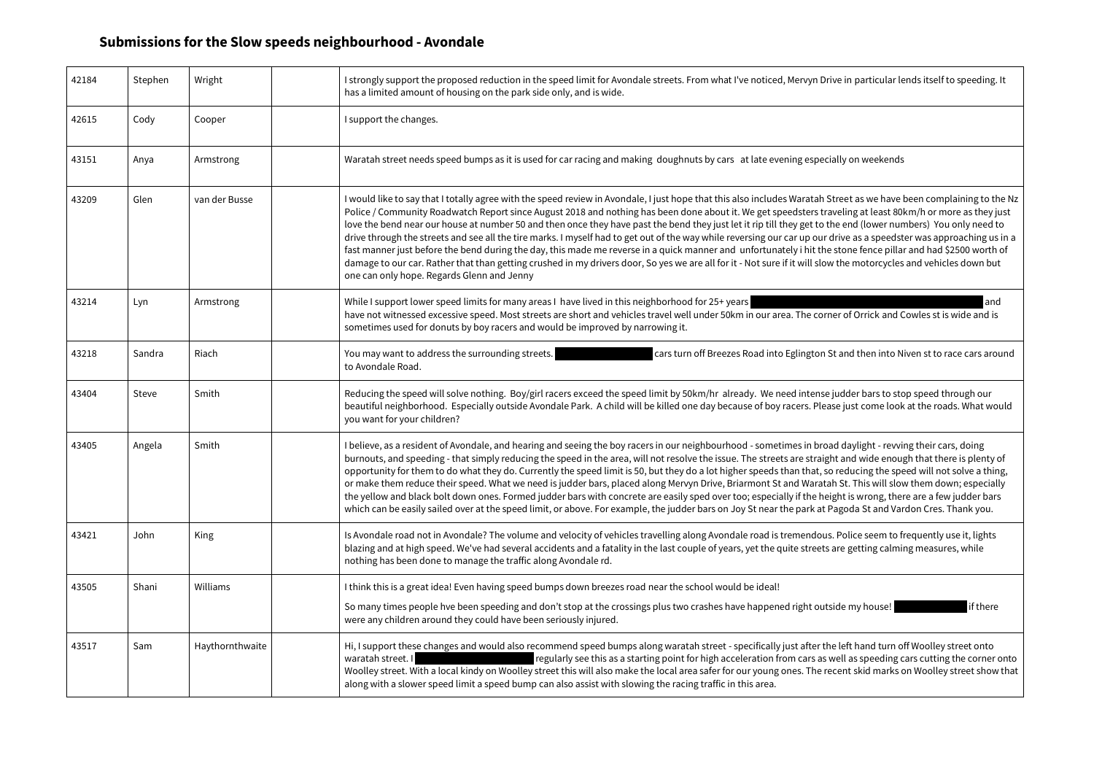| 42184 | Stephen | Wright          | I strongly support the proposed reduction in the speed limit for Avondale streets. From what I've noticed, Mervyn Drive in particular lends itself to speeding. I<br>has a limited amount of housing on the park side only, and is wide.                                                                                                                                                                                                                                                                                                                                                                                                                                                                                                                                                                                                                                                                                                                                                                                                                |
|-------|---------|-----------------|---------------------------------------------------------------------------------------------------------------------------------------------------------------------------------------------------------------------------------------------------------------------------------------------------------------------------------------------------------------------------------------------------------------------------------------------------------------------------------------------------------------------------------------------------------------------------------------------------------------------------------------------------------------------------------------------------------------------------------------------------------------------------------------------------------------------------------------------------------------------------------------------------------------------------------------------------------------------------------------------------------------------------------------------------------|
| 42615 | Cody    | Cooper          | I support the changes.                                                                                                                                                                                                                                                                                                                                                                                                                                                                                                                                                                                                                                                                                                                                                                                                                                                                                                                                                                                                                                  |
| 43151 | Anya    | Armstrong       | Waratah street needs speed bumps as it is used for car racing and making doughnuts by cars at late evening especially on weekends                                                                                                                                                                                                                                                                                                                                                                                                                                                                                                                                                                                                                                                                                                                                                                                                                                                                                                                       |
| 43209 | Glen    | van der Busse   | I would like to say that I totally agree with the speed review in Avondale, I just hope that this also includes Waratah Street as we have been complaining to the<br>Police / Community Roadwatch Report since August 2018 and nothing has been done about it. We get speedsters traveling at least 80km/h or more as they ju<br>love the bend near our house at number 50 and then once they have past the bend they just let it rip till they get to the end (lower numbers) You only need to<br>drive through the streets and see all the tire marks. I myself had to get out of the way while reversing our car up our drive as a speedster was approaching us<br>fast manner just before the bend during the day, this made me reverse in a quick manner and unfortunately i hit the stone fence pillar and had \$2500 worth of<br>damage to our car. Rather that than getting crushed in my drivers door, So yes we are all for it - Not sure if it will slow the motorcycles and vehicles down but<br>one can only hope. Regards Glenn and Jenny |
| 43214 | Lyn     | Armstrong       | While I support lower speed limits for many areas I have lived in this neighborhood for 25+ years<br>and<br>have not witnessed excessive speed. Most streets are short and vehicles travel well under 50km in our area. The corner of Orrick and Cowles st is wide and is<br>sometimes used for donuts by boy racers and would be improved by narrowing it.                                                                                                                                                                                                                                                                                                                                                                                                                                                                                                                                                                                                                                                                                             |
| 43218 | Sandra  | Riach           | You may want to address the surrounding streets.<br>cars turn off Breezes Road into Eglington St and then into Niven st to race cars arou<br>to Avondale Road.                                                                                                                                                                                                                                                                                                                                                                                                                                                                                                                                                                                                                                                                                                                                                                                                                                                                                          |
| 43404 | Steve   | Smith           | Reducing the speed will solve nothing. Boy/girl racers exceed the speed limit by 50km/hr already. We need intense judder bars to stop speed through our<br>beautiful neighborhood. Especially outside Avondale Park. A child will be killed one day because of boy racers. Please just come look at the roads. What wou<br>you want for your children?                                                                                                                                                                                                                                                                                                                                                                                                                                                                                                                                                                                                                                                                                                  |
| 43405 | Angela  | Smith           | I believe, as a resident of Avondale, and hearing and seeing the boy racers in our neighbourhood - sometimes in broad daylight - revving their cars, doing<br>burnouts, and speeding - that simply reducing the speed in the area, will not resolve the issue. The streets are straight and wide enough that there is plenty o<br>opportunity for them to do what they do. Currently the speed limit is 50, but they do a lot higher speeds than that, so reducing the speed will not solve a thing<br>or make them reduce their speed. What we need is judder bars, placed along Mervyn Drive, Briarmont St and Waratah St. This will slow them down; especially<br>the yellow and black bolt down ones. Formed judder bars with concrete are easily sped over too; especially if the height is wrong, there are a few judder bars<br>which can be easily sailed over at the speed limit, or above. For example, the judder bars on Joy St near the park at Pagoda St and Vardon Cres. Thank you.                                                      |
| 43421 | John    | King            | Is Avondale road not in Avondale? The volume and velocity of vehicles travelling along Avondale road is tremendous. Police seem to frequently use it, lights<br>blazing and at high speed. We've had several accidents and a fatality in the last couple of years, yet the quite streets are getting calming measures, while<br>nothing has been done to manage the traffic along Avondale rd.                                                                                                                                                                                                                                                                                                                                                                                                                                                                                                                                                                                                                                                          |
| 43505 | Shani   | Williams        | I think this is a great idea! Even having speed bumps down breezes road near the school would be ideal!<br>So many times people hve been speeding and don't stop at the crossings plus two crashes have happened right outside my house!<br>if there<br>were any children around they could have been seriously injured.                                                                                                                                                                                                                                                                                                                                                                                                                                                                                                                                                                                                                                                                                                                                |
| 43517 | Sam     | Haythornthwaite | Hi, I support these changes and would also recommend speed bumps along waratah street - specifically just after the left hand turn off Woolley street onto<br>regularly see this as a starting point for high acceleration from cars as well as speeding cars cutting the corner o<br>waratah street. I<br>Woolley street. With a local kindy on Woolley street this will also make the local area safer for our young ones. The recent skid marks on Woolley street show<br>along with a slower speed limit a speed bump can also assist with slowing the racing traffic in this area.                                                                                                                                                                                                                                                                                                                                                                                                                                                                 |

I Street as we have been complaining to the Nz raveling at least 80km/h or more as they just the end (lower numbers) You only need to r drive as a speedster was approaching us in a he stone fence pillar and had \$2500 worth of ow the motorcycles and vehicles down but

13218 St and then into Niven st to race cars arounding stand then into Niven st and  $\epsilon$ 

se judder bars to stop speed through our ease just come look at the roads. What would

the left hand turn off Woolley street onto s well as speeding cars cutting the corner onto recent skid marks on Woolley street show that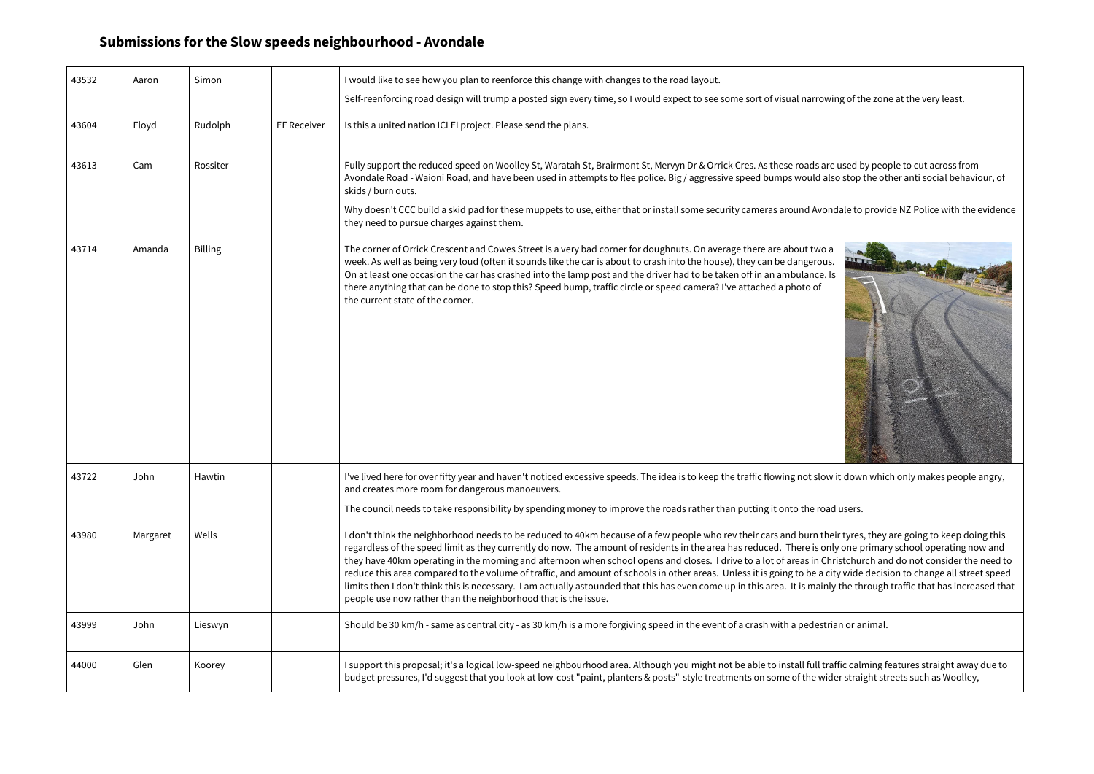| 43532 | Aaron    | Simon          |                    | I would like to see how you plan to reenforce this change with changes to the road layout.                                                                                                                                                                                                                                                                                                                                                                                                                                                                                                                                                                                                                                                                    |
|-------|----------|----------------|--------------------|---------------------------------------------------------------------------------------------------------------------------------------------------------------------------------------------------------------------------------------------------------------------------------------------------------------------------------------------------------------------------------------------------------------------------------------------------------------------------------------------------------------------------------------------------------------------------------------------------------------------------------------------------------------------------------------------------------------------------------------------------------------|
|       |          |                |                    | Self-reenforcing road design will trump a posted sign every time, so I would expect to see some sort of visual narrowing of the zon                                                                                                                                                                                                                                                                                                                                                                                                                                                                                                                                                                                                                           |
| 43604 | Floyd    | Rudolph        | <b>EF Receiver</b> | Is this a united nation ICLEI project. Please send the plans.                                                                                                                                                                                                                                                                                                                                                                                                                                                                                                                                                                                                                                                                                                 |
| 43613 | Cam      | Rossiter       |                    | Fully support the reduced speed on Woolley St, Waratah St, Brairmont St, Mervyn Dr & Orrick Cres. As these roads are used by peo<br>Avondale Road - Waioni Road, and have been used in attempts to flee police. Big / aggressive speed bumps would also stop the ot<br>skids / burn outs.<br>Why doesn't CCC build a skid pad for these muppets to use, either that or install some security cameras around Avondale to provi                                                                                                                                                                                                                                                                                                                                 |
|       |          |                |                    | they need to pursue charges against them.                                                                                                                                                                                                                                                                                                                                                                                                                                                                                                                                                                                                                                                                                                                     |
| 43714 | Amanda   | <b>Billing</b> |                    | The corner of Orrick Crescent and Cowes Street is a very bad corner for doughnuts. On average there are about two a<br>week. As well as being very loud (often it sounds like the car is about to crash into the house), they can be dangerous.<br>On at least one occasion the car has crashed into the lamp post and the driver had to be taken off in an ambulance. Is<br>there anything that can be done to stop this? Speed bump, traffic circle or speed camera? I've attached a photo of<br>the current state of the corner.                                                                                                                                                                                                                           |
| 43722 | John     | Hawtin         |                    | I've lived here for over fifty year and haven't noticed excessive speeds. The idea is to keep the traffic flowing not slow it down whic<br>and creates more room for dangerous manoeuvers.                                                                                                                                                                                                                                                                                                                                                                                                                                                                                                                                                                    |
|       |          |                |                    | The council needs to take responsibility by spending money to improve the roads rather than putting it onto the road users.                                                                                                                                                                                                                                                                                                                                                                                                                                                                                                                                                                                                                                   |
| 43980 | Margaret | Wells          |                    | I don't think the neighborhood needs to be reduced to 40km because of a few people who rev their cars and burn their tyres, they<br>regardless of the speed limit as they currently do now. The amount of residents in the area has reduced. There is only one primar<br>they have 40km operating in the morning and afternoon when school opens and closes. I drive to a lot of areas in Christchurch an<br>reduce this area compared to the volume of traffic, and amount of schools in other areas. Unless it is going to be a city wide decis<br>limits then I don't think this is necessary. I am actually astounded that this has even come up in this area. It is mainly the through<br>people use now rather than the neighborhood that is the issue. |
| 43999 | John     | Lieswyn        |                    | Should be 30 km/h - same as central city - as 30 km/h is a more forgiving speed in the event of a crash with a pedestrian or animal.                                                                                                                                                                                                                                                                                                                                                                                                                                                                                                                                                                                                                          |
| 44000 | Glen     | Koorey         |                    | I support this proposal; it's a logical low-speed neighbourhood area. Although you might not be able to install full traffic calming f<br>budget pressures, I'd suggest that you look at low-cost "paint, planters & posts"-style treatments on some of the wider straight st                                                                                                                                                                                                                                                                                                                                                                                                                                                                                 |

owing of the zone at the very least.

are used by people to cut across from also stop the other anti social behaviour, of

ondale to provide NZ Police with the evidence



ow it down which only makes people angry,

their tyres, they are going to keep doing this only one primary school operating now and Christchurch and do not consider the need to a city wide decision to change all street speed. <sup>In</sup> inly the through traffic that has increased that

traffic calming features straight away due to wider straight streets such as Woolley,